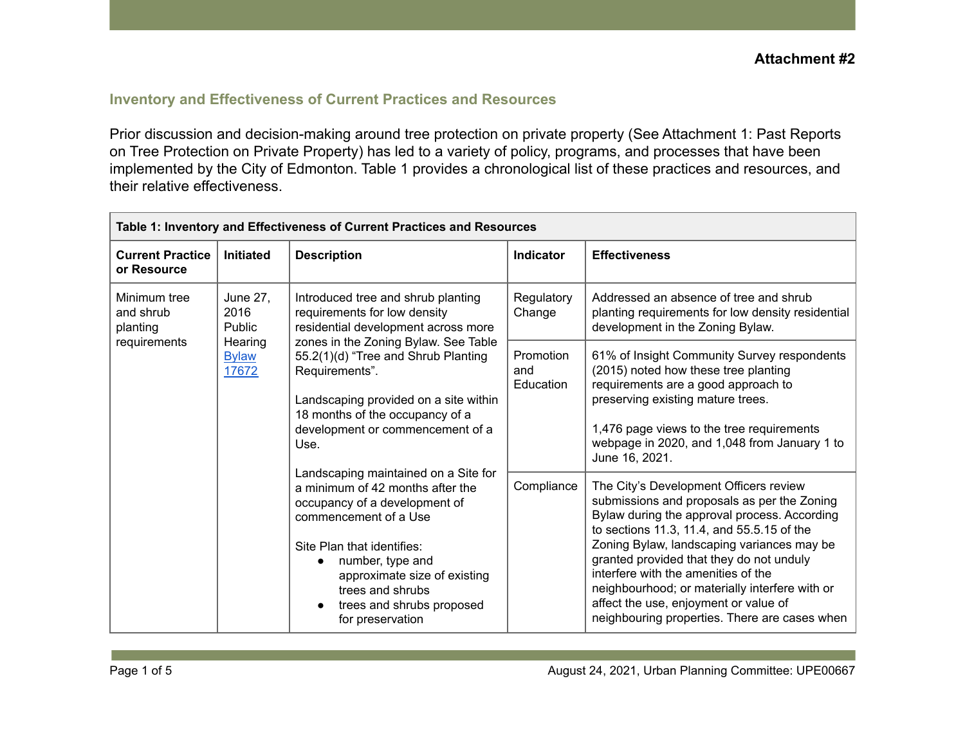## **Inventory and Effectiveness of Current Practices and Resources**

Prior discussion and decision-making around tree protection on private property (See Attachment 1: Past Reports on Tree Protection on Private Property) has led to a variety of policy, programs, and processes that have been implemented by the City of Edmonton. Table 1 provides a chronological list of these practices and resources, and their relative effectiveness.

| Table 1: Inventory and Effectiveness of Current Practices and Resources |                                                                              |                                                                                                                                                                                                                                                                                                                                    |                               |                                                                                                                                                                                                                                                                                                                                                                                                                                                                  |  |
|-------------------------------------------------------------------------|------------------------------------------------------------------------------|------------------------------------------------------------------------------------------------------------------------------------------------------------------------------------------------------------------------------------------------------------------------------------------------------------------------------------|-------------------------------|------------------------------------------------------------------------------------------------------------------------------------------------------------------------------------------------------------------------------------------------------------------------------------------------------------------------------------------------------------------------------------------------------------------------------------------------------------------|--|
| <b>Current Practice</b><br>or Resource                                  | <b>Initiated</b>                                                             | <b>Description</b>                                                                                                                                                                                                                                                                                                                 | Indicator                     | <b>Effectiveness</b>                                                                                                                                                                                                                                                                                                                                                                                                                                             |  |
| Minimum tree<br>and shrub<br>planting<br>requirements                   | <b>June 27,</b><br>2016<br><b>Public</b><br>Hearing<br><b>Bylaw</b><br>17672 | Introduced tree and shrub planting<br>requirements for low density<br>residential development across more<br>zones in the Zoning Bylaw. See Table<br>55.2(1)(d) "Tree and Shrub Planting<br>Requirements".<br>Landscaping provided on a site within<br>18 months of the occupancy of a<br>development or commencement of a<br>Use. | Regulatory<br>Change          | Addressed an absence of tree and shrub<br>planting requirements for low density residential<br>development in the Zoning Bylaw.                                                                                                                                                                                                                                                                                                                                  |  |
|                                                                         |                                                                              |                                                                                                                                                                                                                                                                                                                                    | Promotion<br>and<br>Education | 61% of Insight Community Survey respondents<br>(2015) noted how these tree planting<br>requirements are a good approach to<br>preserving existing mature trees.<br>1,476 page views to the tree requirements<br>webpage in 2020, and 1,048 from January 1 to<br>June 16, 2021.                                                                                                                                                                                   |  |
|                                                                         |                                                                              | Landscaping maintained on a Site for<br>a minimum of 42 months after the<br>occupancy of a development of<br>commencement of a Use<br>Site Plan that identifies:<br>number, type and<br>approximate size of existing<br>trees and shrubs<br>trees and shrubs proposed<br>for preservation                                          | Compliance                    | The City's Development Officers review<br>submissions and proposals as per the Zoning<br>Bylaw during the approval process. According<br>to sections 11.3, 11.4, and 55.5.15 of the<br>Zoning Bylaw, landscaping variances may be<br>granted provided that they do not unduly<br>interfere with the amenities of the<br>neighbourhood; or materially interfere with or<br>affect the use, enjoyment or value of<br>neighbouring properties. There are cases when |  |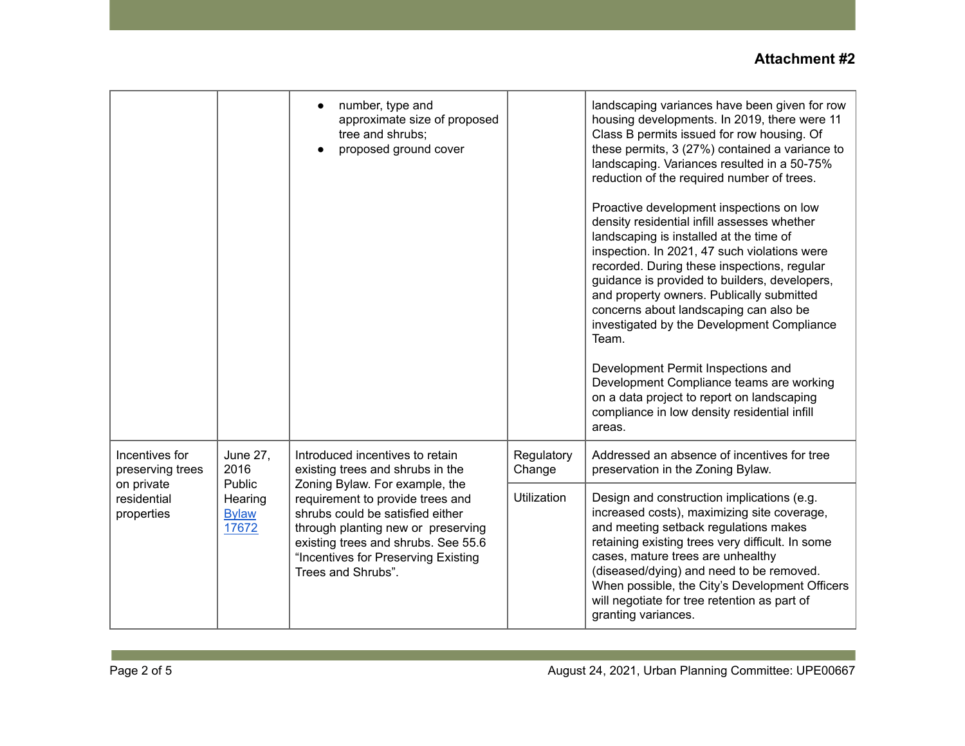## **Attachment #2**

|                                                                               |                                                                       | number, type and<br>approximate size of proposed<br>tree and shrubs;<br>proposed ground cover                                                                                                                                                                                                                           |                      | landscaping variances have been given for row<br>housing developments. In 2019, there were 11<br>Class B permits issued for row housing. Of<br>these permits, 3 (27%) contained a variance to<br>landscaping. Variances resulted in a 50-75%<br>reduction of the required number of trees.<br>Proactive development inspections on low<br>density residential infill assesses whether<br>landscaping is installed at the time of<br>inspection. In 2021, 47 such violations were<br>recorded. During these inspections, regular<br>guidance is provided to builders, developers,<br>and property owners. Publically submitted<br>concerns about landscaping can also be<br>investigated by the Development Compliance<br>Team.<br>Development Permit Inspections and<br>Development Compliance teams are working<br>on a data project to report on landscaping<br>compliance in low density residential infill<br>areas. |
|-------------------------------------------------------------------------------|-----------------------------------------------------------------------|-------------------------------------------------------------------------------------------------------------------------------------------------------------------------------------------------------------------------------------------------------------------------------------------------------------------------|----------------------|--------------------------------------------------------------------------------------------------------------------------------------------------------------------------------------------------------------------------------------------------------------------------------------------------------------------------------------------------------------------------------------------------------------------------------------------------------------------------------------------------------------------------------------------------------------------------------------------------------------------------------------------------------------------------------------------------------------------------------------------------------------------------------------------------------------------------------------------------------------------------------------------------------------------------|
| Incentives for<br>preserving trees<br>on private<br>residential<br>properties | <b>June 27,</b><br>2016<br>Public<br>Hearing<br><b>Bylaw</b><br>17672 | Introduced incentives to retain<br>existing trees and shrubs in the<br>Zoning Bylaw. For example, the<br>requirement to provide trees and<br>shrubs could be satisfied either<br>through planting new or preserving<br>existing trees and shrubs. See 55.6<br>"Incentives for Preserving Existing<br>Trees and Shrubs". | Regulatory<br>Change | Addressed an absence of incentives for tree<br>preservation in the Zoning Bylaw.                                                                                                                                                                                                                                                                                                                                                                                                                                                                                                                                                                                                                                                                                                                                                                                                                                         |
|                                                                               |                                                                       |                                                                                                                                                                                                                                                                                                                         | <b>Utilization</b>   | Design and construction implications (e.g.<br>increased costs), maximizing site coverage,<br>and meeting setback regulations makes<br>retaining existing trees very difficult. In some<br>cases, mature trees are unhealthy<br>(diseased/dying) and need to be removed.<br>When possible, the City's Development Officers<br>will negotiate for tree retention as part of<br>granting variances.                                                                                                                                                                                                                                                                                                                                                                                                                                                                                                                         |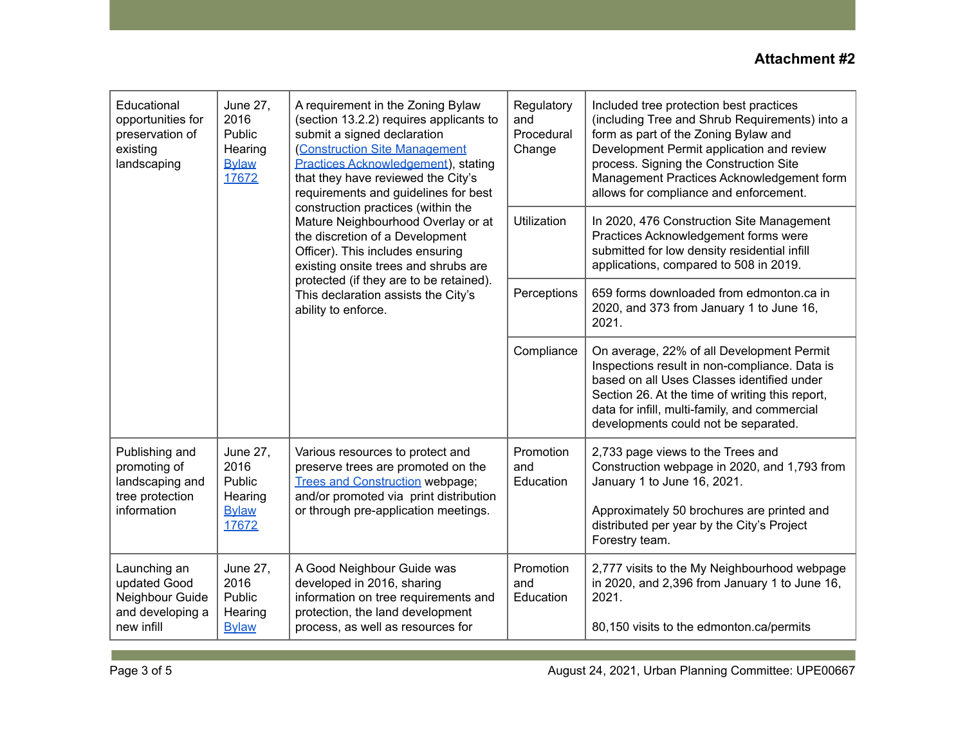| Educational<br>opportunities for<br>preservation of<br>existing<br>landscaping      | June 27,<br>2016<br>Public<br>Hearing<br><b>Bylaw</b><br>17672        | A requirement in the Zoning Bylaw<br>(section 13.2.2) requires applicants to<br>submit a signed declaration<br>(Construction Site Management<br><b>Practices Acknowledgement</b> ), stating<br>that they have reviewed the City's<br>requirements and guidelines for best<br>construction practices (within the<br>Mature Neighbourhood Overlay or at<br>the discretion of a Development<br>Officer). This includes ensuring<br>existing onsite trees and shrubs are<br>protected (if they are to be retained).<br>This declaration assists the City's<br>ability to enforce. | Regulatory<br>and<br>Procedural<br>Change | Included tree protection best practices<br>(including Tree and Shrub Requirements) into a<br>form as part of the Zoning Bylaw and<br>Development Permit application and review<br>process. Signing the Construction Site<br>Management Practices Acknowledgement form<br>allows for compliance and enforcement. |
|-------------------------------------------------------------------------------------|-----------------------------------------------------------------------|-------------------------------------------------------------------------------------------------------------------------------------------------------------------------------------------------------------------------------------------------------------------------------------------------------------------------------------------------------------------------------------------------------------------------------------------------------------------------------------------------------------------------------------------------------------------------------|-------------------------------------------|-----------------------------------------------------------------------------------------------------------------------------------------------------------------------------------------------------------------------------------------------------------------------------------------------------------------|
|                                                                                     |                                                                       |                                                                                                                                                                                                                                                                                                                                                                                                                                                                                                                                                                               | <b>Utilization</b>                        | In 2020, 476 Construction Site Management<br>Practices Acknowledgement forms were<br>submitted for low density residential infill<br>applications, compared to 508 in 2019.                                                                                                                                     |
|                                                                                     |                                                                       |                                                                                                                                                                                                                                                                                                                                                                                                                                                                                                                                                                               | Perceptions                               | 659 forms downloaded from edmonton.ca in<br>2020, and 373 from January 1 to June 16,<br>2021.                                                                                                                                                                                                                   |
|                                                                                     |                                                                       |                                                                                                                                                                                                                                                                                                                                                                                                                                                                                                                                                                               | Compliance                                | On average, 22% of all Development Permit<br>Inspections result in non-compliance. Data is<br>based on all Uses Classes identified under<br>Section 26. At the time of writing this report,<br>data for infill, multi-family, and commercial<br>developments could not be separated.                            |
| Publishing and<br>promoting of<br>landscaping and<br>tree protection<br>information | <b>June 27,</b><br>2016<br>Public<br>Hearing<br><b>Bylaw</b><br>17672 | Various resources to protect and<br>preserve trees are promoted on the<br><b>Trees and Construction webpage;</b><br>and/or promoted via print distribution<br>or through pre-application meetings.                                                                                                                                                                                                                                                                                                                                                                            | Promotion<br>and<br>Education             | 2,733 page views to the Trees and<br>Construction webpage in 2020, and 1,793 from<br>January 1 to June 16, 2021.<br>Approximately 50 brochures are printed and<br>distributed per year by the City's Project<br>Forestry team.                                                                                  |
| Launching an<br>updated Good<br>Neighbour Guide<br>and developing a<br>new infill   | <b>June 27,</b><br>2016<br>Public<br>Hearing<br><b>Bylaw</b>          | A Good Neighbour Guide was<br>developed in 2016, sharing<br>information on tree requirements and<br>protection, the land development<br>process, as well as resources for                                                                                                                                                                                                                                                                                                                                                                                                     | Promotion<br>and<br>Education             | 2,777 visits to the My Neighbourhood webpage<br>in 2020, and 2,396 from January 1 to June 16,<br>2021.<br>80,150 visits to the edmonton.ca/permits                                                                                                                                                              |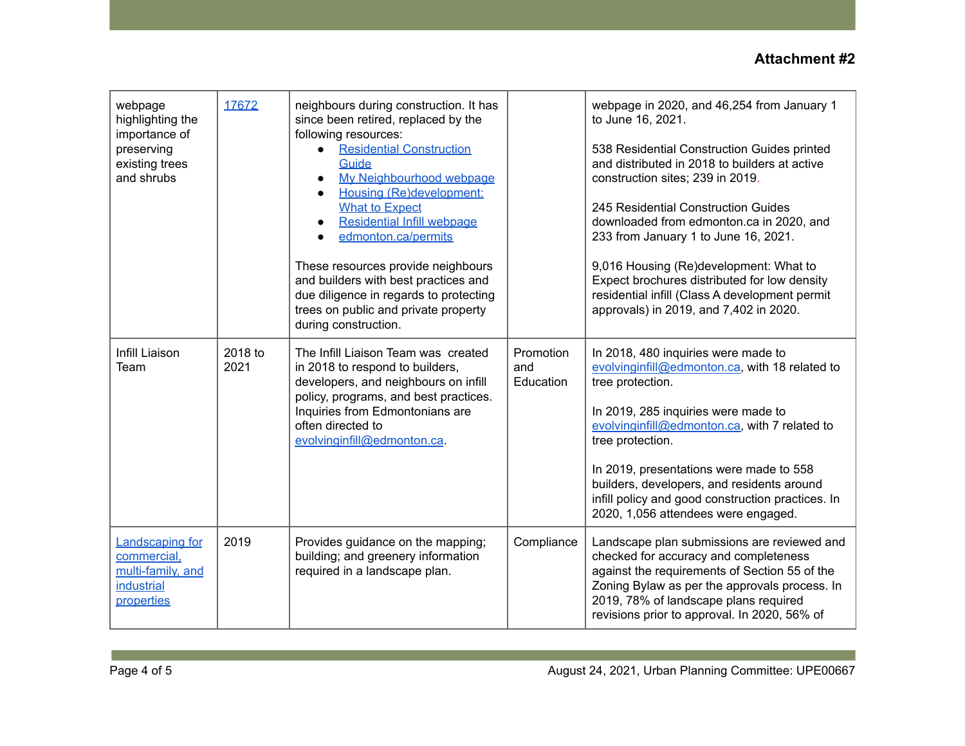## **Attachment #2**

| webpage<br>highlighting the<br>importance of<br>preserving<br>existing trees<br>and shrubs | 17672           | neighbours during construction. It has<br>since been retired, replaced by the<br>following resources:<br><b>Residential Construction</b><br>Guide<br>My Neighbourhood webpage<br>Housing (Re)development:<br><b>What to Expect</b><br>Residential Infill webpage<br>edmonton.ca/permits<br>These resources provide neighbours<br>and builders with best practices and<br>due diligence in regards to protecting<br>trees on public and private property<br>during construction. |                               | webpage in 2020, and 46,254 from January 1<br>to June 16, 2021.<br>538 Residential Construction Guides printed<br>and distributed in 2018 to builders at active<br>construction sites; 239 in 2019.<br>245 Residential Construction Guides<br>downloaded from edmonton.ca in 2020, and<br>233 from January 1 to June 16, 2021.<br>9,016 Housing (Re)development: What to<br>Expect brochures distributed for low density<br>residential infill (Class A development permit<br>approvals) in 2019, and 7,402 in 2020. |
|--------------------------------------------------------------------------------------------|-----------------|---------------------------------------------------------------------------------------------------------------------------------------------------------------------------------------------------------------------------------------------------------------------------------------------------------------------------------------------------------------------------------------------------------------------------------------------------------------------------------|-------------------------------|----------------------------------------------------------------------------------------------------------------------------------------------------------------------------------------------------------------------------------------------------------------------------------------------------------------------------------------------------------------------------------------------------------------------------------------------------------------------------------------------------------------------|
| Infill Liaison<br>Team                                                                     | 2018 to<br>2021 | The Infill Liaison Team was created<br>in 2018 to respond to builders,<br>developers, and neighbours on infill<br>policy, programs, and best practices.<br>Inquiries from Edmontonians are<br>often directed to<br>evolvinginfill@edmonton.ca.                                                                                                                                                                                                                                  | Promotion<br>and<br>Education | In 2018, 480 inquiries were made to<br>evolvinginfill@edmonton.ca, with 18 related to<br>tree protection.<br>In 2019, 285 inquiries were made to<br>evolvinginfill@edmonton.ca, with 7 related to<br>tree protection.<br>In 2019, presentations were made to 558<br>builders, developers, and residents around<br>infill policy and good construction practices. In<br>2020, 1,056 attendees were engaged.                                                                                                           |
| Landscaping for<br>commercial,<br>multi-family, and<br><b>industrial</b><br>properties     | 2019            | Provides guidance on the mapping;<br>building; and greenery information<br>required in a landscape plan.                                                                                                                                                                                                                                                                                                                                                                        | Compliance                    | Landscape plan submissions are reviewed and<br>checked for accuracy and completeness<br>against the requirements of Section 55 of the<br>Zoning Bylaw as per the approvals process. In<br>2019, 78% of landscape plans required<br>revisions prior to approval. In 2020, 56% of                                                                                                                                                                                                                                      |